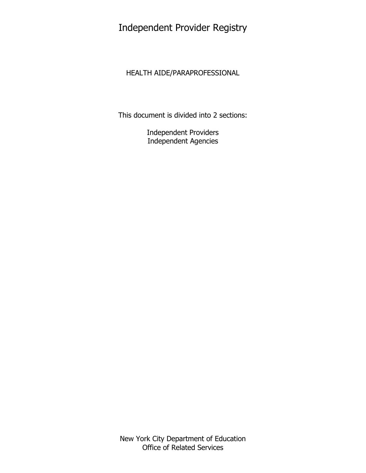# Independent Provider Registry

## HEALTH AIDE/PARAPROFESSIONAL

This document is divided into 2 sections:

Independent Providers Independent Agencies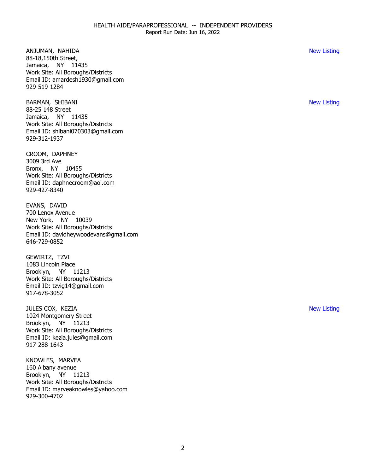ANJUMAN, NAHIDA New Listing Jamaica, NY 11435 88-18,150th Street, Work Site: All Boroughs/Districts Email ID: [amardesh1930@gmail.com](mailto:amardesh1930@gmail.com) 929-519-1284

BARMAN, SHIBANI NEW LISTING OF THE SERVE OF THE SERVE OF THE SERVE OF THE SERVE OF THE SERVE OF THE SERVE OF THE SERVE OF THE SERVE OF THE SERVE OF THE SERVE OF THE SERVE OF THE SERVE OF THE SERVE OF THE SERVE OF THE SERVE Jamaica, NY 11435 88-25 148 Street Work Site: All Boroughs/Districts Email ID: [shibani070303@gmail.com](mailto:shibani070303@gmail.com)  929-312-1937

CROOM, DAPHNEY<br>3009 3rd Ave Bronx, NY 10455 Work Site: All Boroughs/Districts Email ID: [daphnecroom@aol.com](mailto:daphnecroom@aol.com)  929-427-8340

EVANS, DAVID New York, NY 10039 700 Lenox Avenue Work Site: All Boroughs/Districts Email ID: [davidheywoodevans@gmail.com](mailto:davidheywoodevans@gmail.com)  646-729-0852

GEWIRTZ, TZVI Brooklyn, NY 11213 1083 Lincoln Place Work Site: All Boroughs/Districts Email ID: [tzvig14@gmail.com](mailto:tzvig14@gmail.com)  917-678-3052

 JULES COX, KEZIA New Listing Brooklyn, NY 11213 1024 Montgomery Street Work Site: All Boroughs/Districts Email ID: [kezia.jules@gmail.com](mailto:kezia.jules@gmail.com)  917-288-1643

KNOWLES, MARVEA Brooklyn, NY 11213 160 Albany avenue Work Site: All Boroughs/Districts Email ID: [marveaknowles@yahoo.com](mailto:marveaknowles@yahoo.com) 929-300-4702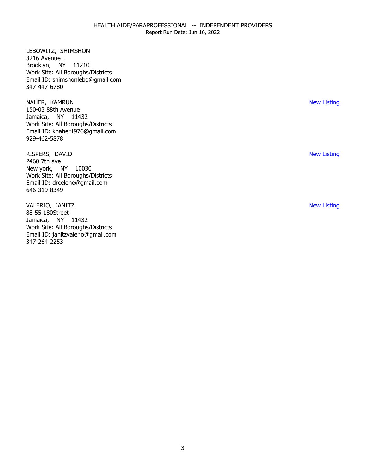Report Run Date: Jun 16, 2022

LEBOWITZ, SHIMSHON<br>3216 Avenue L Brooklyn, NY 11210 Work Site: All Boroughs/Districts Email ID: [shimshonlebo@gmail.com](mailto:shimshonlebo@gmail.com)  347-447-6780

NAHER, KAMRUN Jamaica, NY 11432 150-03 88th Avenue Work Site: All Boroughs/Districts Email ID: [knaher1976@gmail.com](mailto:knaher1976@gmail.com) 929-462-5878

RISPERS, DAVID<br>2460 7th ave New york, NY 10030 Work Site: All Boroughs/Districts Email ID: [drcelone@gmail.com](mailto:drcelone@gmail.com)  646-319-8349

VALERIO, JANITZ<br>88-55 180Street Jamaica, NY 11432 Work Site: All Boroughs/Districts Email ID: [janitzvalerio@gmail.com](mailto:janitzvalerio@gmail.com) 347-264-2253

New Listing

New Listing

New Listing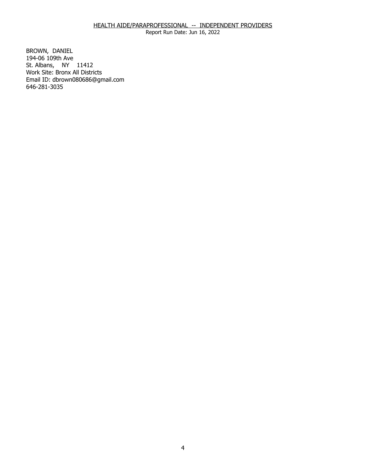Report Run Date: Jun 16, 2022

BROWN, DANIEL St. Albans, NY 11412 194-06 109th Ave Work Site: Bronx All Districts Email ID: [dbrown080686@gmail.com](mailto:dbrown080686@gmail.com) 646-281-3035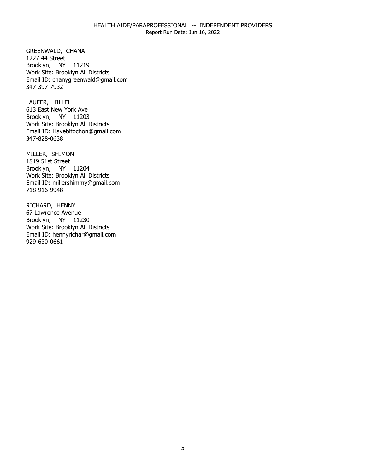Report Run Date: Jun 16, 2022

GREENWALD, CHANA<br>1227 44 Street Brooklyn, NY 11219 Work Site: Brooklyn All Districts Email ID: [chanygreenwald@gmail.com](mailto:chanygreenwald@gmail.com)  347-397-7932

LAUFER, HILLEL Brooklyn, NY 11203 613 East New York Ave Work Site: Brooklyn All Districts Email ID: [Havebitochon@gmail.com](mailto:Havebitochon@gmail.com) 347-828-0638

MILLER, SHIMON<br>1819 51st Street Brooklyn, NY 11204 Work Site: Brooklyn All Districts Email ID: [millershimmy@gmail.com](mailto:millershimmy@gmail.com) 718-916-9948

RICHARD, HENNY<br>67 Lawrence Avenue Brooklyn, NY 11230 Work Site: Brooklyn All Districts Email ID: [hennyrichar@gmail.com](mailto:hennyrichar@gmail.com) 929-630-0661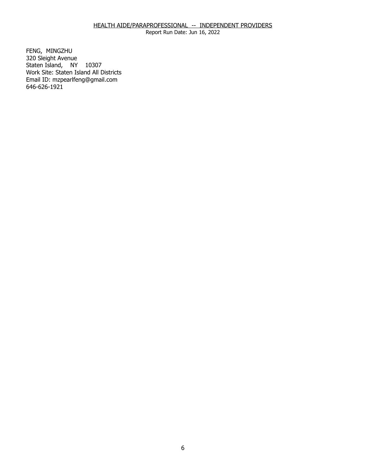Report Run Date: Jun 16, 2022

FENG, MINGZHU Staten Island, NY 10307 320 Sleight Avenue Work Site: Staten Island All Districts Email ID: [mzpearlfeng@gmail.com](mailto:mzpearlfeng@gmail.com)  646-626-1921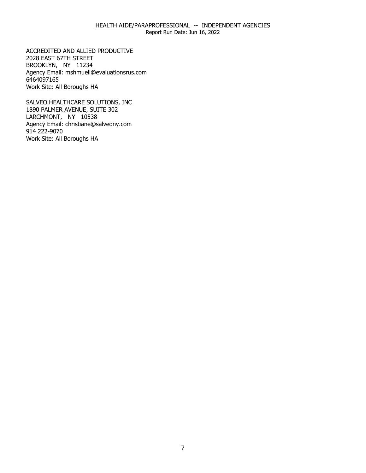Report Run Date: Jun 16, 2022

ACCREDITED AND ALLIED PRODUCTIVE<br>2028 EAST 67TH STREET<br>BROOKLYN, NY 11234 2028 EAST 67TH STREET BROOKLYN, NY 11234 Agency Email: [mshmueli@evaluationsrus.com](mailto:mshmueli@evaluationsrus.com)  6464097165 Work Site: All Boroughs HA

SALVEO HEALTHCARE SOLUTIONS, INC LARCHMONT, NY 10538 SALVEO HEALTHCARE SOLUTIONS, INC<br>1890 PALMER AVENUE, SUITE 302<br>LARCHMONT, NY 10538 Agency Email: [christiane@salveony.com](mailto:christiane@salveony.com) 914 222-9070 Work Site: All Boroughs HA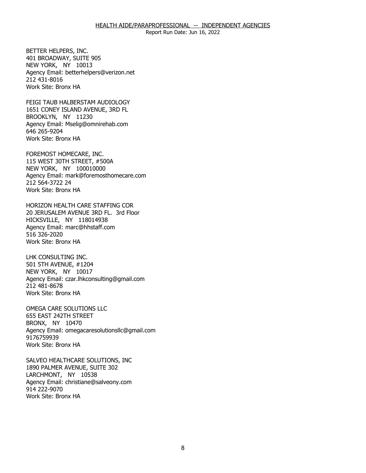NEW YORK, NY 10013 BETTER HELPERS, INC.<br>401 BROADWAY, SUITE 905<br>NEW YORK, NY 10013 Agency Email: [betterhelpers@verizon.net](mailto:betterhelpers@verizon.net) 212 431-8016 Work Site: Bronx HA

FEIGI TAUB HALBERSTAM AUDIOLOGY BROOKLYN, NY 11230 FEIGI TAUB HALBERSTAM AUDIOLOGY<br>1651 CONEY ISLAND AVENUE, 3RD FL<br>BROOKLYN, NY 11230 Agency Email: [Mselig@omnirehab.com](mailto:Mselig@omnirehab.com) 646 265-9204 Work Site: Bronx HA

NEW YORK, NY 100010000 FOREMOST HOMECARE, INC.<br>115 WEST 30TH STREET, #500A<br>NEW YORK, NY 100010000 Agency Email: [mark@foremosthomecare.com](mailto:mark@foremosthomecare.com)  212 564-3722 24 Work Site: Bronx HA

HORIZON HEALTH CARE STAFFING COR HICKSVILLE, NY 118014938 20 JERUSALEM AVENUE 3RD FL. 3rd Floor Agency Email: [marc@hhstaff.com](mailto:marc@hhstaff.com) 516 326-2020 Work Site: Bronx HA

LHK CONSULTING INC. 501 5TH AVENUE, #1204 LHK CONSULTING INC.<br>501 5TH AVENUE, #1204<br>NEW YORK, NY 10017 Agency Email: [czar.lhkconsulting@gmail.com](mailto:czar.lhkconsulting@gmail.com) 212 481-8678 Work Site: Bronx HA

OMEGA CARE SOLUTIONS LLC<br>655 EAST 242TH STREET<br>BRONX, NY 10470 655 EAST 242TH STREET BRONX, NY 10470 Agency Email: [omegacaresolutionsllc@gmail.com](mailto:omegacaresolutionsllc@gmail.com) 9176759939 Work Site: Bronx HA

SALVEO HEALTHCARE SOLUTIONS, INC<br>1890 PALMER AVENUE, SUITE 302<br>LARCHMONT, NY 10538 1890 PALMER AVENUE, SUITE 302 LARCHMONT, NY 10538 Agency Email: [christiane@salveony.com](mailto:christiane@salveony.com) 914 222-9070 Work Site: Bronx HA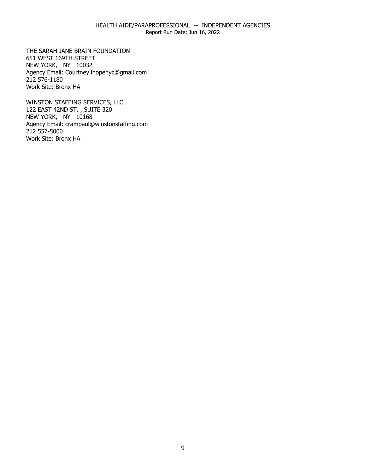Report Run Date: Jun 16, 2022

THE SARAH JANE BRAIN FOUNDATION<br>651 WEST 169TH STREET<br>NEW YORK, NY 10032 651 WEST 169TH STREET NEW YORK, NY 10032 Agency Email: [Courtney.ihopenyc@gmail.com](mailto:Courtney.ihopenyc@gmail.com)  212 576-1180 Work Site: Bronx HA

WINSTON STAFFING SERVICES, LLC NEW YORK, NY 10168 WINSTON STAFFING SERVICES, LLC<br>122 EAST 42ND ST. , SUITE 320<br>NEW YORK, NY 10168 Agency Email: [crampaul@winstonstaffing.com](mailto:crampaul@winstonstaffing.com) 212 557-5000 Work Site: Bronx HA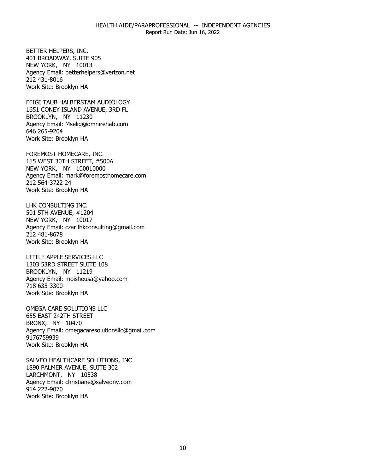Report Run Date: Jun 16, 2022

401 BROADWAY, SUITE 905 BETTER HELPERS, INC.<br>401 BROADWAY, SUITE 905<br>NEW YORK, NY 10013 Agency Email: [betterhelpers@verizon.net](mailto:betterhelpers@verizon.net) 212 431-8016 Work Site: Brooklyn HA

FEIGI TAUB HALBERSTAM AUDIOLOGY BROOKLYN, NY 11230 FEIGI TAUB HALBERSTAM AUDIOLOGY<br>1651 CONEY ISLAND AVENUE, 3RD FL<br>BROOKLYN, NY 11230 Agency Email: [Mselig@omnirehab.com](mailto:Mselig@omnirehab.com) 646 265-9204 Work Site: Brooklyn HA

NEW YORK, NY 100010000 FOREMOST HOMECARE, INC.<br>115 WEST 30TH STREET, #500A<br>NEW YORK, NY 100010000 Agency Email: [mark@foremosthomecare.com](mailto:mark@foremosthomecare.com)  212 564-3722 24 Work Site: Brooklyn HA

501 5TH AVENUE, #1204 LHK CONSULTING INC.<br>501 5TH AVENUE, #1204<br>NEW YORK, NY 10017 Agency Email: [czar.lhkconsulting@gmail.com](mailto:czar.lhkconsulting@gmail.com) 212 481-8678 Work Site: Brooklyn HA

LITTLE APPLE SERVICES LLC BROOKLYN, NY 11219 LITTLE APPLE SERVICES LLC<br>1303 53RD STREET SUITE 108<br>BROOKLYN, NY 11219 Agency Email: [moisheusa@yahoo.com](mailto:moisheusa@yahoo.com) 718 635-3300 Work Site: Brooklyn HA

OMEGA CARE SOLUTIONS LLC<br>655 EAST 242TH STREET<br>BRONX, NY 10470 655 EAST 242TH STREET BRONX, NY 10470 Agency Email: [omegacaresolutionsllc@gmail.com](mailto:omegacaresolutionsllc@gmail.com) 9176759939 Work Site: Brooklyn HA

SALVEO HEALTHCARE SOLUTIONS, INC<br>1890 PALMER AVENUE, SUITE 302<br>LARCHMONT, NY 10538 1890 PALMER AVENUE, SUITE 302 LARCHMONT, NY 10538 Agency Email: [christiane@salveony.com](mailto:christiane@salveony.com) 914 222-9070 Work Site: Brooklyn HA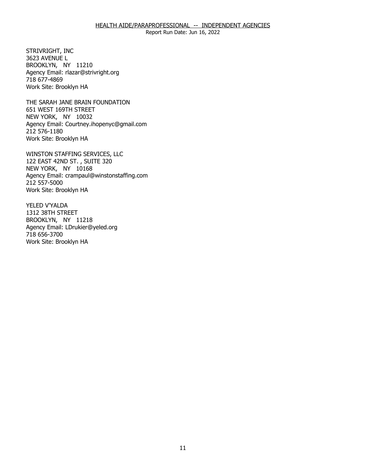STRIVRIGHT, INC 3623 AVENUE L STRIVRIGHT, INC<br>3623 AVENUE L<br>BROOKLYN, NY 11210 Agency Email: [rlazar@strivright.org](mailto:rlazar@strivright.org) 718 677-4869 Work Site: Brooklyn HA

THE SARAH JANE BRAIN FOUNDATION<br>651 WEST 169TH STREET<br>NEW YORK, NY 10032 651 WEST 169TH STREET NEW YORK, NY 10032 Agency Email: [Courtney.ihopenyc@gmail.com](mailto:Courtney.ihopenyc@gmail.com)  212 576-1180 Work Site: Brooklyn HA

WINSTON STAFFING SERVICES, LLC NEW YORK, NY 10168 WINSTON STAFFING SERVICES, LLC<br>122 EAST 42ND ST. , SUITE 320<br>NEW YORK, NY 10168 Agency Email: [crampaul@winstonstaffing.com](mailto:crampaul@winstonstaffing.com) 212 557-5000 Work Site: Brooklyn HA

YELED V'YALDA 1312 38TH STREET YELED V'YALDA<br>1312 38TH STREET<br>BROOKLYN, NY 11218 Agency Email: [LDrukier@yeled.org](mailto:LDrukier@yeled.org) 718 656-3700 Work Site: Brooklyn HA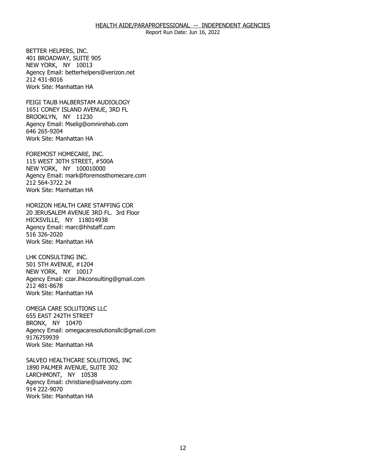401 BROADWAY, SUITE 905 BETTER HELPERS, INC.<br>401 BROADWAY, SUITE 905<br>NEW YORK, NY 10013 Agency Email: [betterhelpers@verizon.net](mailto:betterhelpers@verizon.net) 212 431-8016 Work Site: Manhattan HA

FEIGI TAUB HALBERSTAM AUDIOLOGY BROOKLYN, NY 11230 FEIGI TAUB HALBERSTAM AUDIOLOGY<br>1651 CONEY ISLAND AVENUE, 3RD FL<br>BROOKLYN, NY 11230 Agency Email: [Mselig@omnirehab.com](mailto:Mselig@omnirehab.com) 646 265-9204 Work Site: Manhattan HA

FOREMOST HOMECARE, INC. NEW YORK, NY 100010000 FOREMOST HOMECARE, INC.<br>115 WEST 30TH STREET, #500A<br>NEW YORK, NY 100010000 Agency Email: [mark@foremosthomecare.com](mailto:mark@foremosthomecare.com)  212 564-3722 24 Work Site: Manhattan HA

HORIZON HEALTH CARE STAFFING COR HICKSVILLE, NY 118014938 20 JERUSALEM AVENUE 3RD FL. 3rd Floor Agency Email: [marc@hhstaff.com](mailto:marc@hhstaff.com) 516 326-2020 Work Site: Manhattan HA

LHK CONSULTING INC. 501 5TH AVENUE, #1204 LHK CONSULTING INC.<br>501 5TH AVENUE, #1204<br>NEW YORK, NY 10017 Agency Email: [czar.lhkconsulting@gmail.com](mailto:czar.lhkconsulting@gmail.com) 212 481-8678 Work Site: Manhattan HA

OMEGA CARE SOLUTIONS LLC<br>655 EAST 242TH STREET<br>BRONX, NY 10470 655 EAST 242TH STREET BRONX, NY 10470 Agency Email: [omegacaresolutionsllc@gmail.com](mailto:omegacaresolutionsllc@gmail.com) 9176759939 Work Site: Manhattan HA

SALVEO HEALTHCARE SOLUTIONS, INC<br>1890 PALMER AVENUE, SUITE 302<br>LARCHMONT, NY 10538 1890 PALMER AVENUE, SUITE 302 LARCHMONT, NY 10538 Agency Email: [christiane@salveony.com](mailto:christiane@salveony.com) 914 222-9070 Work Site: Manhattan HA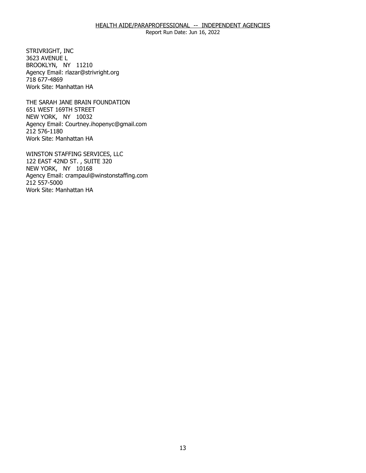STRIVRIGHT, INC 3623 AVENUE L STRIVRIGHT, INC<br>3623 AVENUE L<br>BROOKLYN, NY 11210 Agency Email: [rlazar@strivright.org](mailto:rlazar@strivright.org) 718 677-4869 Work Site: Manhattan HA

THE SARAH JANE BRAIN FOUNDATION<br>651 WEST 169TH STREET<br>NEW YORK, NY 10032 651 WEST 169TH STREET NEW YORK, NY 10032 Agency Email: [Courtney.ihopenyc@gmail.com](mailto:Courtney.ihopenyc@gmail.com)  212 576-1180 Work Site: Manhattan HA

WINSTON STAFFING SERVICES, LLC NEW YORK, NY 10168 WINSTON STAFFING SERVICES, LLC<br>122 EAST 42ND ST. , SUITE 320<br>NEW YORK, NY 10168 Agency Email: [crampaul@winstonstaffing.com](mailto:crampaul@winstonstaffing.com) 212 557-5000 Work Site: Manhattan HA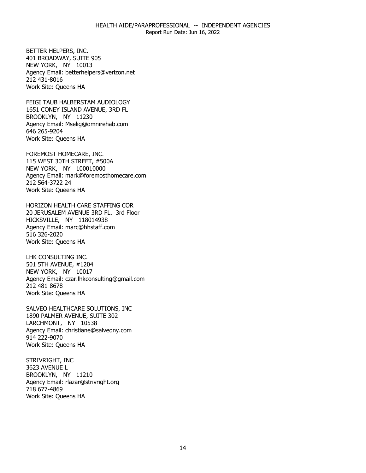NEW YORK, NY 10013 BETTER HELPERS, INC.<br>401 BROADWAY, SUITE 905<br>NEW YORK, NY 10013 Agency Email: [betterhelpers@verizon.net](mailto:betterhelpers@verizon.net) 212 431-8016 Work Site: Queens HA

FEIGI TAUB HALBERSTAM AUDIOLOGY BROOKLYN, NY 11230 FEIGI TAUB HALBERSTAM AUDIOLOGY<br>1651 CONEY ISLAND AVENUE, 3RD FL<br>BROOKLYN, NY 11230 Agency Email: [Mselig@omnirehab.com](mailto:Mselig@omnirehab.com) 646 265-9204 Work Site: Queens HA

NEW YORK, NY 100010000 FOREMOST HOMECARE, INC.<br>115 WEST 30TH STREET, #500A<br>NEW YORK, NY 100010000 Agency Email: [mark@foremosthomecare.com](mailto:mark@foremosthomecare.com)  212 564-3722 24 Work Site: Queens HA

HORIZON HEALTH CARE STAFFING COR HICKSVILLE, NY 118014938 20 JERUSALEM AVENUE 3RD FL. 3rd Floor Agency Email: [marc@hhstaff.com](mailto:marc@hhstaff.com) 516 326-2020 Work Site: Queens HA

LHK CONSULTING INC. NEW YORK, NY 10017 LHK CONSULTING INC.<br>501 5TH AVENUE, #1204<br>NEW YORK, NY 10017 Agency Email: [czar.lhkconsulting@gmail.com](mailto:czar.lhkconsulting@gmail.com) 212 481-8678 Work Site: Queens HA

SALVEO HEALTHCARE SOLUTIONS, INC LARCHMONT, NY 10538 SALVEO HEALTHCARE SOLUTIONS, INC<br>1890 PALMER AVENUE, SUITE 302<br>LARCHMONT, NY 10538 Agency Email: [christiane@salveony.com](mailto:christiane@salveony.com) 914 222-9070 Work Site: Queens HA

STRIVRIGHT, INC 3623 AVENUE L STRIVRIGHT, INC<br>3623 AVENUE L<br>BROOKLYN, NY 11210 Agency Email: [rlazar@strivright.org](mailto:rlazar@strivright.org) 718 677-4869 Work Site: Queens HA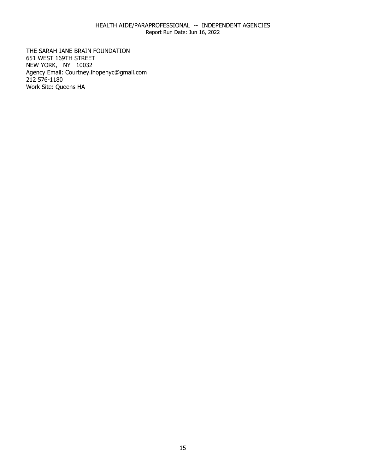Report Run Date: Jun 16, 2022

THE SARAH JANE BRAIN FOUNDATION 651 WEST 169TH STREET THE SARAH JANE BRAIN FOUNDATION<br>651 WEST 169TH STREET<br>NEW YORK, NY 10032 Agency Email: [Courtney.ihopenyc@gmail.com](mailto:Courtney.ihopenyc@gmail.com)  212 576-1180 Work Site: Queens HA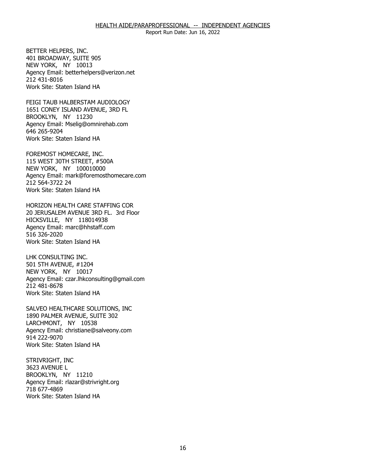BETTER HELPERS, INC. 401 BROADWAY, SUITE 905 BETTER HELPERS, INC.<br>401 BROADWAY, SUITE 905<br>NEW YORK, NY 10013 Agency Email: [betterhelpers@verizon.net](mailto:betterhelpers@verizon.net) 212 431-8016 Work Site: Staten Island HA

FEIGI TAUB HALBERSTAM AUDIOLOGY BROOKLYN, NY 11230 FEIGI TAUB HALBERSTAM AUDIOLOGY<br>1651 CONEY ISLAND AVENUE, 3RD FL<br>BROOKLYN, NY 11230 Agency Email: [Mselig@omnirehab.com](mailto:Mselig@omnirehab.com) 646 265-9204 Work Site: Staten Island HA

FOREMOST HOMECARE, INC. NEW YORK, NY 100010000 FOREMOST HOMECARE, INC.<br>115 WEST 30TH STREET, #500A<br>NEW YORK, NY 100010000 Agency Email: [mark@foremosthomecare.com](mailto:mark@foremosthomecare.com)  212 564-3722 24 Work Site: Staten Island HA

HORIZON HEALTH CARE STAFFING COR HICKSVILLE, NY 118014938 20 JERUSALEM AVENUE 3RD FL. 3rd Floor Agency Email: [marc@hhstaff.com](mailto:marc@hhstaff.com) 516 326-2020 Work Site: Staten Island HA

LHK CONSULTING INC. 501 5TH AVENUE, #1204 LHK CONSULTING INC.<br>501 5TH AVENUE, #1204<br>NEW YORK, NY 10017 Agency Email: [czar.lhkconsulting@gmail.com](mailto:czar.lhkconsulting@gmail.com) 212 481-8678 Work Site: Staten Island HA

SALVEO HEALTHCARE SOLUTIONS, INC LARCHMONT, NY 10538 SALVEO HEALTHCARE SOLUTIONS, INC<br>1890 PALMER AVENUE, SUITE 302<br>LARCHMONT, NY 10538 Agency Email: [christiane@salveony.com](mailto:christiane@salveony.com) 914 222-9070 Work Site: Staten Island HA

STRIVRIGHT, INC 3623 AVENUE L STRIVRIGHT, INC<br>3623 AVENUE L<br>BROOKLYN, NY 11210 Agency Email: [rlazar@strivright.org](mailto:rlazar@strivright.org) 718 677-4869 Work Site: Staten Island HA